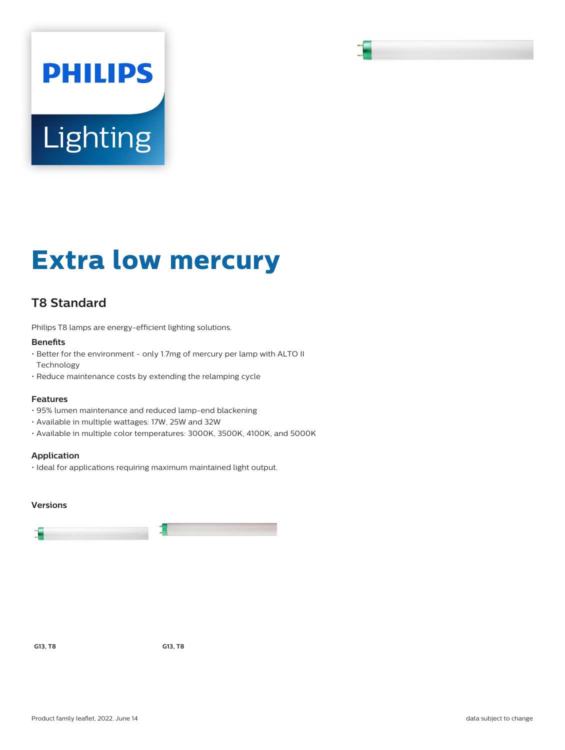# **PHILIPS** Lighting

# **Extra low mercury**

# **T8 Standard**

Philips T8 lamps are energy-efficient lighting solutions.

#### **Benefits**

- Better for the environment only 1.7mg of mercury per lamp with ALTO II Technology
- Reduce maintenance costs by extending the relamping cycle

#### **Features**

- 95% lumen maintenance and reduced lamp-end blackening
- Available in multiple wattages: 17W, 25W and 32W
- Available in multiple color temperatures: 3000K, 3500K, 4100K, and 5000K

#### **Application**

• Ideal for applications requiring maximum maintained light output.

#### **Versions**



**G13, T8 G13, T8**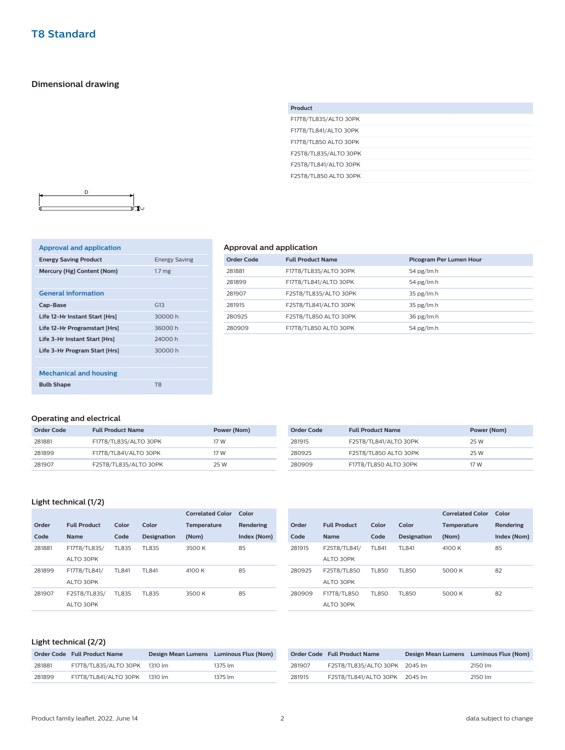### **Dimensional drawing**

| F17T8/TL835/ALTO 30PK<br>F17T8/TL841/ALTO 30PK<br>F17T8/TL850 ALTO 30PK<br>F25T8/TL835/ALTO 30PK<br>F25T8/TL841/ALTO 30PK | Product               |
|---------------------------------------------------------------------------------------------------------------------------|-----------------------|
|                                                                                                                           |                       |
|                                                                                                                           |                       |
|                                                                                                                           |                       |
|                                                                                                                           |                       |
|                                                                                                                           |                       |
|                                                                                                                           | F25T8/TL850 ALTO 30PK |



| <b>Approval and application</b> |                      |
|---------------------------------|----------------------|
| <b>Energy Saving Product</b>    | <b>Energy Saving</b> |
| Mercury (Hg) Content (Nom)      | 1.7 <sub>mg</sub>    |
|                                 |                      |
| <b>General information</b>      |                      |
| Cap-Base                        | G13                  |
| Life 12-Hr Instant Start [Hrs]  | 30000 h              |
| Life 12-Hr Programstart [Hrs]   | 36000h               |
| Life 3-Hr Instant Start [Hrs]   | 24000 h              |
| Life 3-Hr Program Start [Hrs]   | 30000 h              |
|                                 |                      |
| <b>Mechanical and housing</b>   |                      |
| <b>Bulb Shape</b>               | T <sub>8</sub>       |

### **Approval and application**

| Order Code | <b>Full Product Name</b> | Picogram Per Lumen Hour |
|------------|--------------------------|-------------------------|
| 281881     | F17T8/TL835/ALTO 30PK    | 54 pg/lm.h              |
| 281899     | F17T8/TL841/ALTO 30PK    | 54 pg/lm.h              |
| 281907     | F25T8/TL835/ALTO 30PK    | $35$ pg/lm.h            |
| 281915     | F25T8/TL841/ALTO 30PK    | $35$ pg/lm.h            |
| 280925     | F25T8/TL850 ALTO 30PK    | $36$ pg/lm.h            |
| 280909     | F17T8/TL850 ALTO 30PK    | 54 pg/lm.h              |

### **Operating and electrical**

| Order Code | <b>Full Product Name</b> | Power (Nom) | Order Code | <b>Full Product Name</b> | Power (Nom) |
|------------|--------------------------|-------------|------------|--------------------------|-------------|
| 281881     | F17T8/TL835/ALTO 30PK    | 17 W        | 281915     | F25T8/TL841/ALTO 30PK    | 25 W        |
| 281899     | F17T8/TL841/ALTO 30PK    | 17 W        | 280925     | F25T8/TL850 ALTO 30PK    | 25 W        |
| 281907     | F25T8/TL835/ALTO 30PK    | 25 W        | 280909     | F17T8/TL850 ALTO 30PK    | 17 W        |

## **Light technical (1/2)**

|        |                     |              |                    | <b>Correlated Color</b> | Color       |
|--------|---------------------|--------------|--------------------|-------------------------|-------------|
| Order  | <b>Full Product</b> | Color        | Color              | <b>Temperature</b>      | Rendering   |
| Code   | <b>Name</b>         | Code         | <b>Designation</b> | (Nom)                   | Index (Nom) |
| 281881 | F17T8/TL835/        | TL835        | TL835              | 3500 K                  | 85          |
|        | ALTO 30PK           |              |                    |                         |             |
| 281899 | F17T8/TL841/        | TL841        | TL841              | 4100 K                  | 85          |
|        | ALTO 30PK           |              |                    |                         |             |
| 281907 | F25T8/TL835/        | <b>TL835</b> | TL835              | 3500 K                  | 85          |
|        | ALTO 30PK           |              |                    |                         |             |
|        |                     |              |                    |                         |             |

|        |                     |        |                    | <b>Correlated Color</b> | Color       |
|--------|---------------------|--------|--------------------|-------------------------|-------------|
| Order  | <b>Full Product</b> | Color  | Color              | Temperature             | Rendering   |
| Code   | <b>Name</b>         | Code   | <b>Designation</b> | (Nom)                   | Index (Nom) |
| 281915 | F25T8/TL841/        | TI 841 | TL841              | 4100 K                  | 85          |
|        | ALTO 30PK           |        |                    |                         |             |
| 280925 | F25T8/TL850         | TL850  | TL850              | 5000 K                  | 82          |
|        | ALTO 30PK           |        |                    |                         |             |
| 280909 | F17T8/TL850         | TL850  | TL850              | 5000 K                  | 82          |
|        | ALTO 30PK           |        |                    |                         |             |

### **Light technical (2/2)**

|        | Order Code Full Product Name  | Design Mean Lumens Luminous Flux (Nom) |
|--------|-------------------------------|----------------------------------------|
| 281881 | F17T8/TL835/ALTO 30PK 1310 lm | 1375 lm                                |
| 281899 | F17T8/TL841/ALTO 30PK 1310 lm | 1375 lm                                |

|        | Order Code Full Product Name  | Design Mean Lumens Luminous Flux (Nom) |         |
|--------|-------------------------------|----------------------------------------|---------|
| 281907 | F25T8/TL835/ALTO 30PK 2045 lm |                                        | 2150 lm |
| 281915 | F25T8/TL841/ALTO 30PK 2045 lm |                                        | 2150 lm |